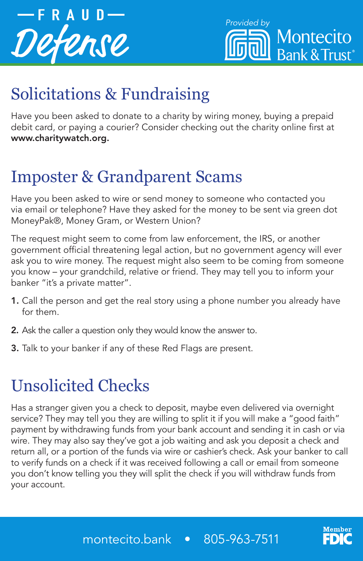



# Solicitations & Fundraising

Have you been asked to donate to a charity by wiring money, buying a prepaid debit card, or paying a courier? Consider checking out the charity online first at www.charitywatch.org.

#### Imposter & Grandparent Scams

Have you been asked to wire or send money to someone who contacted you via email or telephone? Have they asked for the money to be sent via green dot MoneyPak®, Money Gram, or Western Union?

The request might seem to come from law enforcement, the IRS, or another government official threatening legal action, but no government agency will ever ask you to wire money. The request might also seem to be coming from someone you know – your grandchild, relative or friend. They may tell you to inform your banker "it's a private matter".

- 1. Call the person and get the real story using a phone number you already have for them.
- 2. Ask the caller a question only they would know the answer to.
- 3. Talk to your banker if any of these Red Flags are present.

## Unsolicited Checks

Has a stranger given you a check to deposit, maybe even delivered via overnight service? They may tell you they are willing to split it if you will make a "good faith" payment by withdrawing funds from your bank account and sending it in cash or via wire. They may also say they've got a job waiting and ask you deposit a check and return all, or a portion of the funds via wire or cashier's check. Ask your banker to call to verify funds on a check if it was received following a call or email from someone you don't know telling you they will split the check if you will withdraw funds from your account.